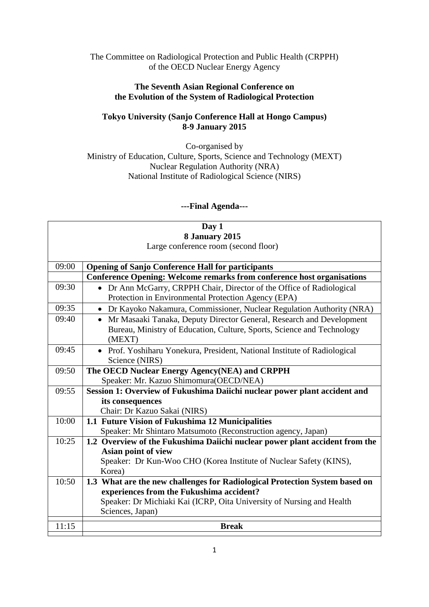The Committee on Radiological Protection and Public Health (CRPPH) of the OECD Nuclear Energy Agency

## **The Seventh Asian Regional Conference on the Evolution of the System of Radiological Protection**

## **Tokyo University (Sanjo Conference Hall at Hongo Campus) 8-9 January 2015**

Co-organised by Ministry of Education, Culture, Sports, Science and Technology (MEXT) Nuclear Regulation Authority (NRA) National Institute of Radiological Science (NIRS)

## **---Final Agenda---**

| Day 1                                |                                                                                  |  |
|--------------------------------------|----------------------------------------------------------------------------------|--|
| 8 January 2015                       |                                                                                  |  |
| Large conference room (second floor) |                                                                                  |  |
|                                      |                                                                                  |  |
| 09:00                                | <b>Opening of Sanjo Conference Hall for participants</b>                         |  |
|                                      | <b>Conference Opening: Welcome remarks from conference host organisations</b>    |  |
| 09:30                                | Dr Ann McGarry, CRPPH Chair, Director of the Office of Radiological<br>$\bullet$ |  |
|                                      | Protection in Environmental Protection Agency (EPA)                              |  |
| 09:35                                | • Dr Kayoko Nakamura, Commissioner, Nuclear Regulation Authority (NRA)           |  |
| 09:40                                | • Mr Masaaki Tanaka, Deputy Director General, Research and Development           |  |
|                                      | Bureau, Ministry of Education, Culture, Sports, Science and Technology           |  |
|                                      | (MEXT)                                                                           |  |
| 09:45                                | • Prof. Yoshiharu Yonekura, President, National Institute of Radiological        |  |
|                                      | Science (NIRS)                                                                   |  |
| 09:50                                | The OECD Nuclear Energy Agency(NEA) and CRPPH                                    |  |
|                                      | Speaker: Mr. Kazuo Shimomura(OECD/NEA)                                           |  |
| 09:55                                | Session 1: Overview of Fukushima Daiichi nuclear power plant accident and        |  |
|                                      | its consequences                                                                 |  |
|                                      | Chair: Dr Kazuo Sakai (NIRS)                                                     |  |
| 10:00                                | 1.1 Future Vision of Fukushima 12 Municipalities                                 |  |
|                                      | Speaker: Mr Shintaro Matsumoto (Reconstruction agency, Japan)                    |  |
| 10:25                                | 1.2 Overview of the Fukushima Daiichi nuclear power plant accident from the      |  |
|                                      | Asian point of view                                                              |  |
|                                      | Speaker: Dr Kun-Woo CHO (Korea Institute of Nuclear Safety (KINS),               |  |
|                                      | Korea)                                                                           |  |
| 10:50                                | 1.3 What are the new challenges for Radiological Protection System based on      |  |
|                                      | experiences from the Fukushima accident?                                         |  |
|                                      | Speaker: Dr Michiaki Kai (ICRP, Oita University of Nursing and Health            |  |
|                                      | Sciences, Japan)                                                                 |  |
| 11:15                                | <b>Break</b>                                                                     |  |
|                                      |                                                                                  |  |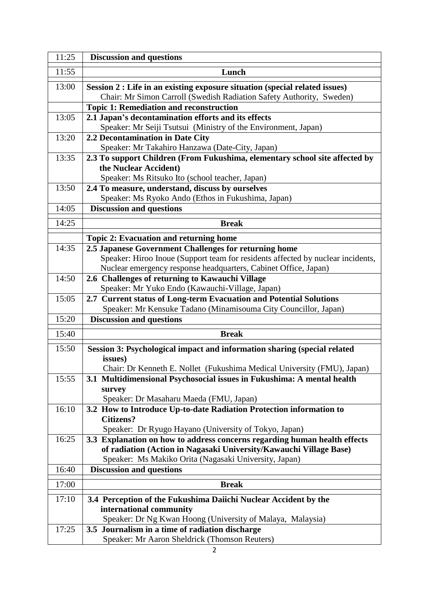| 11:25 | <b>Discussion and questions</b>                                                                                                       |
|-------|---------------------------------------------------------------------------------------------------------------------------------------|
| 11:55 | Lunch                                                                                                                                 |
| 13:00 | Session 2 : Life in an existing exposure situation (special related issues)                                                           |
|       | Chair: Mr Simon Carroll (Swedish Radiation Safety Authority, Sweden)                                                                  |
|       | <b>Topic 1: Remediation and reconstruction</b>                                                                                        |
| 13:05 | 2.1 Japan's decontamination efforts and its effects                                                                                   |
|       | Speaker: Mr Seiji Tsutsui (Ministry of the Environment, Japan)                                                                        |
| 13:20 | 2.2 Decontamination in Date City                                                                                                      |
| 13:35 | Speaker: Mr Takahiro Hanzawa (Date-City, Japan)<br>2.3 To support Children (From Fukushima, elementary school site affected by        |
|       | the Nuclear Accident)                                                                                                                 |
|       | Speaker: Ms Ritsuko Ito (school teacher, Japan)                                                                                       |
| 13:50 | 2.4 To measure, understand, discuss by ourselves                                                                                      |
|       | Speaker: Ms Ryoko Ando (Ethos in Fukushima, Japan)                                                                                    |
| 14:05 | <b>Discussion and questions</b>                                                                                                       |
| 14:25 | <b>Break</b>                                                                                                                          |
|       |                                                                                                                                       |
|       | <b>Topic 2: Evacuation and returning home</b>                                                                                         |
| 14:35 | 2.5 Japanese Government Challenges for returning home                                                                                 |
|       | Speaker: Hiroo Inoue (Support team for residents affected by nuclear incidents,                                                       |
|       | Nuclear emergency response headquarters, Cabinet Office, Japan)                                                                       |
| 14:50 | 2.6 Challenges of returning to Kawauchi Village                                                                                       |
| 15:05 | Speaker: Mr Yuko Endo (Kawauchi-Village, Japan)                                                                                       |
|       | 2.7 Current status of Long-term Evacuation and Potential Solutions<br>Speaker: Mr Kensuke Tadano (Minamisouma City Councillor, Japan) |
| 15:20 | <b>Discussion and questions</b>                                                                                                       |
|       |                                                                                                                                       |
| 15:40 | <b>Break</b>                                                                                                                          |
| 15:50 | Session 3: Psychological impact and information sharing (special related                                                              |
|       | issues)                                                                                                                               |
|       | Chair: Dr Kenneth E. Nollet (Fukushima Medical University (FMU), Japan)                                                               |
| 15:55 | 3.1 Multidimensional Psychosocial issues in Fukushima: A mental health                                                                |
|       | survey                                                                                                                                |
| 16:10 | Speaker: Dr Masaharu Maeda (FMU, Japan)                                                                                               |
|       | 3.2 How to Introduce Up-to-date Radiation Protection information to<br><b>Citizens?</b>                                               |
|       | Speaker: Dr Ryugo Hayano (University of Tokyo, Japan)                                                                                 |
| 16:25 | 3.3 Explanation on how to address concerns regarding human health effects                                                             |
|       | of radiation (Action in Nagasaki University/Kawauchi Village Base)                                                                    |
|       | Speaker: Ms Makiko Orita (Nagasaki University, Japan)                                                                                 |
| 16:40 | <b>Discussion and questions</b>                                                                                                       |
| 17:00 | <b>Break</b>                                                                                                                          |
| 17:10 | 3.4 Perception of the Fukushima Daiichi Nuclear Accident by the                                                                       |
|       | international community                                                                                                               |
|       | Speaker: Dr Ng Kwan Hoong (University of Malaya, Malaysia)                                                                            |
| 17:25 | 3.5 Journalism in a time of radiation discharge                                                                                       |
|       | Speaker: Mr Aaron Sheldrick (Thomson Reuters)                                                                                         |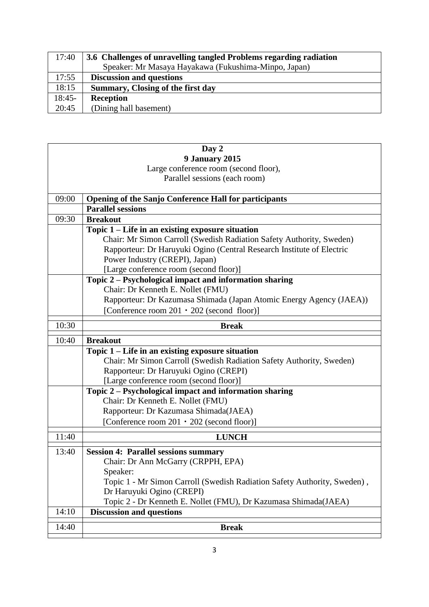| 17:40    | 3.6 Challenges of unravelling tangled Problems regarding radiation |
|----------|--------------------------------------------------------------------|
|          | Speaker: Mr Masaya Hayakawa (Fukushima-Minpo, Japan)               |
| 17:55    | <b>Discussion and questions</b>                                    |
| 18:15    | Summary, Closing of the first day                                  |
| $18:45-$ | <b>Reception</b>                                                   |
| 20:45    | (Dining hall basement)                                             |

| Day 2                                 |                                                                                 |  |
|---------------------------------------|---------------------------------------------------------------------------------|--|
| 9 January 2015                        |                                                                                 |  |
| Large conference room (second floor), |                                                                                 |  |
|                                       | Parallel sessions (each room)                                                   |  |
|                                       |                                                                                 |  |
| 09:00                                 | <b>Opening of the Sanjo Conference Hall for participants</b>                    |  |
|                                       | <b>Parallel sessions</b>                                                        |  |
| 09:30                                 | <b>Breakout</b>                                                                 |  |
|                                       | Topic 1 – Life in an existing exposure situation                                |  |
|                                       | Chair: Mr Simon Carroll (Swedish Radiation Safety Authority, Sweden)            |  |
|                                       | Rapporteur: Dr Haruyuki Ogino (Central Research Institute of Electric           |  |
|                                       | Power Industry (CREPI), Japan)                                                  |  |
|                                       | [Large conference room (second floor)]                                          |  |
|                                       | Topic 2 – Psychological impact and information sharing                          |  |
|                                       | Chair: Dr Kenneth E. Nollet (FMU)                                               |  |
|                                       | Rapporteur: Dr Kazumasa Shimada (Japan Atomic Energy Agency (JAEA))             |  |
|                                       | [Conference room $201 \cdot 202$ (second floor)]                                |  |
| 10:30                                 | <b>Break</b>                                                                    |  |
| 10:40                                 | <b>Breakout</b>                                                                 |  |
|                                       | Topic 1 – Life in an existing exposure situation                                |  |
|                                       | Chair: Mr Simon Carroll (Swedish Radiation Safety Authority, Sweden)            |  |
|                                       |                                                                                 |  |
|                                       |                                                                                 |  |
|                                       | Rapporteur: Dr Haruyuki Ogino (CREPI)<br>[Large conference room (second floor)] |  |
|                                       | Topic 2 – Psychological impact and information sharing                          |  |
|                                       | Chair: Dr Kenneth E. Nollet (FMU)                                               |  |
|                                       | Rapporteur: Dr Kazumasa Shimada(JAEA)                                           |  |
|                                       | [Conference room 201 · 202 (second floor)]                                      |  |
|                                       |                                                                                 |  |
| 11:40                                 | <b>LUNCH</b>                                                                    |  |
| 13:40                                 | <b>Session 4: Parallel sessions summary</b>                                     |  |
|                                       | Chair: Dr Ann McGarry (CRPPH, EPA)                                              |  |
|                                       | Speaker:                                                                        |  |
|                                       | Topic 1 - Mr Simon Carroll (Swedish Radiation Safety Authority, Sweden),        |  |
|                                       | Dr Haruyuki Ogino (CREPI)                                                       |  |
|                                       | Topic 2 - Dr Kenneth E. Nollet (FMU), Dr Kazumasa Shimada(JAEA)                 |  |
| 14:10                                 | <b>Discussion and questions</b>                                                 |  |

٦

 $\mathsf{I}$